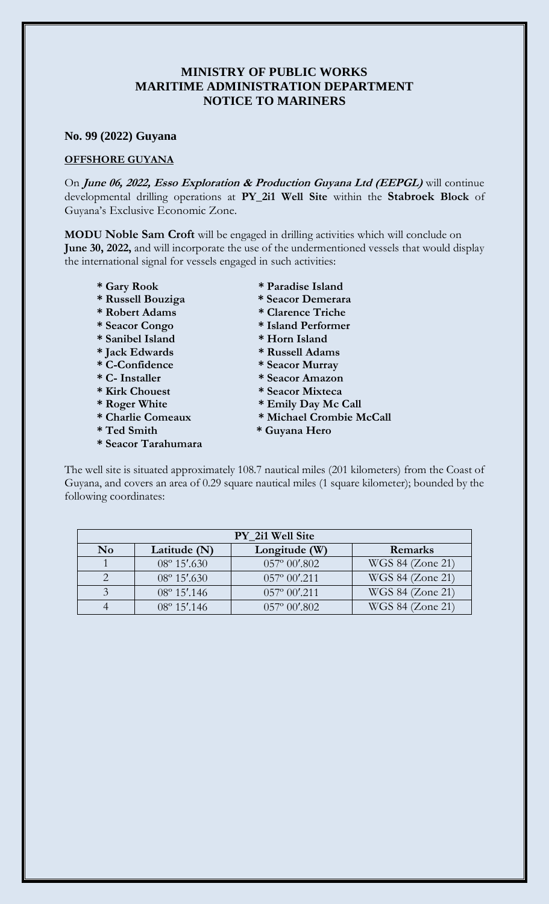## **MINISTRY OF PUBLIC WORKS MARITIME ADMINISTRATION DEPARTMENT NOTICE TO MARINERS**

## **No. 99 (2022) Guyana**

## **OFFSHORE GUYANA**

On **June 06, 2022, Esso Exploration & Production Guyana Ltd (EEPGL)** will continue developmental drilling operations at **PY\_2i1 Well Site** within the **Stabroek Block** of Guyana's Exclusive Economic Zone.

**MODU Noble Sam Croft** will be engaged in drilling activities which will conclude on **June 30, 2022,** and will incorporate the use of the undermentioned vessels that would display the international signal for vessels engaged in such activities:

- 
- **\* Russell Bouziga \* Seacor Demerara**
- **\* Robert Adams \* Clarence Triche**
- 
- **\* Sanibel Island \* Horn Island**
- **\* Jack Edwards \* Russell Adams**
- **\* C-Confidence \* Seacor Murray**
- 
- 
- 
- 
- 
- **\* Seacor Tarahumara**
- **\* Gary Rook \* Paradise Island**
	-
	-
- **\* Seacor Congo \* Island Performer** 
	-
	-
	-
- **\* C- Installer \* Seacor Amazon**
- **\* Kirk Chouest \* Seacor Mixteca**
- **\* Roger White \* Emily Day Mc Call**
- **\* Charlie Comeaux \* Michael Crombie McCall**
- **\* Ted Smith \* Guyana Hero**

The well site is situated approximately 108.7 nautical miles (201 kilometers) from the Coast of Guyana, and covers an area of 0.29 square nautical miles (1 square kilometer); bounded by the following coordinates:

| PY 2i1 Well Site |                       |                         |                  |
|------------------|-----------------------|-------------------------|------------------|
| N <sub>0</sub>   | Latitude $(N)$        | Longitude (W)           | Remarks          |
|                  | $08^{\circ} 15'$ .630 | $057^{\circ} 00'$ .802  | WGS 84 (Zone 21) |
|                  | $08^{\circ} 15'$ .630 | $057^{\circ} 00'$ .211  | WGS 84 (Zone 21) |
|                  | $08^{\circ} 15'$ .146 | $057^{\circ} 00'$ .211  | WGS 84 (Zone 21) |
|                  | 08° 15'.146           | $0.57^{\circ} 00'$ .802 | WGS 84 (Zone 21) |